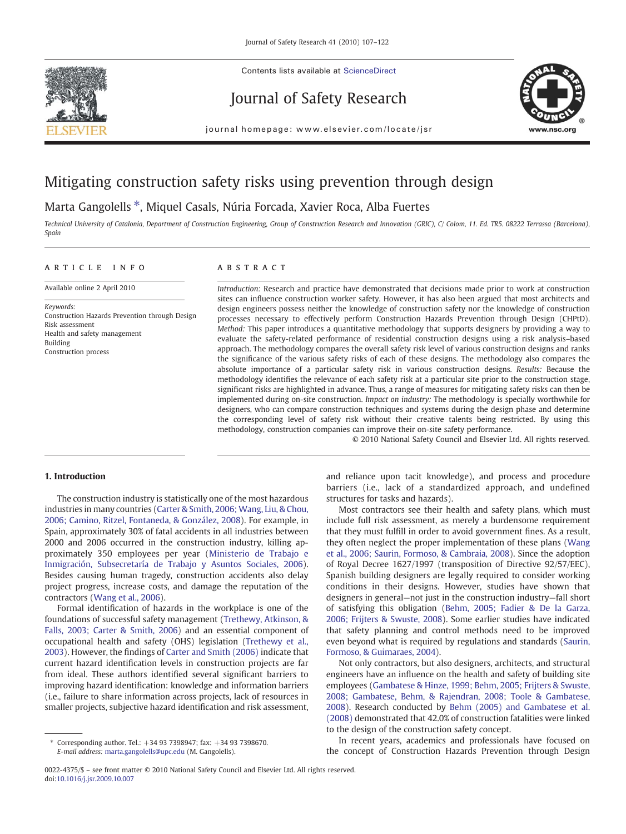

Contents lists available at ScienceDirect

# Journal of Safety Research



journal homepage: www.elsevier.com/locate/jsr

# Mitigating construction safety risks using prevention through design

# Marta Gangolells ⁎, Miquel Casals, Núria Forcada, Xavier Roca, Alba Fuertes

Technical University of Catalonia, Department of Construction Engineering, Group of Construction Research and Innovation (GRIC), C/ Colom, 11. Ed. TR5. 08222 Terrassa (Barcelona), Spain

## article info abstract

Available online 2 April 2010

Keywords: Construction Hazards Prevention through Design Risk assessment Health and safety management Building Construction process

Introduction: Research and practice have demonstrated that decisions made prior to work at construction sites can influence construction worker safety. However, it has also been argued that most architects and design engineers possess neither the knowledge of construction safety nor the knowledge of construction processes necessary to effectively perform Construction Hazards Prevention through Design (CHPtD). Method: This paper introduces a quantitative methodology that supports designers by providing a way to evaluate the safety-related performance of residential construction designs using a risk analysis–based approach. The methodology compares the overall safety risk level of various construction designs and ranks the significance of the various safety risks of each of these designs. The methodology also compares the absolute importance of a particular safety risk in various construction designs. Results: Because the methodology identifies the relevance of each safety risk at a particular site prior to the construction stage, significant risks are highlighted in advance. Thus, a range of measures for mitigating safety risks can then be implemented during on-site construction. Impact on industry: The methodology is specially worthwhile for designers, who can compare construction techniques and systems during the design phase and determine the corresponding level of safety risk without their creative talents being restricted. By using this methodology, construction companies can improve their on-site safety performance.

© 2010 National Safety Council and Elsevier Ltd. All rights reserved.

# 1. Introduction

The construction industry is statistically one of the most hazardous industries in many countries [\(Carter & Smith, 2006; Wang, Liu, & Chou,](#page--1-0) [2006; Camino, Ritzel, Fontaneda, & González, 2008\)](#page--1-0). For example, in Spain, approximately 30% of fatal accidents in all industries between 2000 and 2006 occurred in the construction industry, killing approximately 350 employees per year ([Ministerio de Trabajo e](#page--1-0) [Inmigración, Subsecretaría de Trabajo y Asuntos Sociales, 2006](#page--1-0)). Besides causing human tragedy, construction accidents also delay project progress, increase costs, and damage the reputation of the contractors [\(Wang et al., 2006](#page--1-0)).

Formal identification of hazards in the workplace is one of the foundations of successful safety management ([Trethewy, Atkinson, &](#page--1-0) [Falls, 2003; Carter & Smith, 2006](#page--1-0)) and an essential component of occupational health and safety (OHS) legislation [\(Trethewy et al.,](#page--1-0) [2003\)](#page--1-0). However, the findings of [Carter and Smith \(2006\)](#page--1-0) indicate that current hazard identification levels in construction projects are far from ideal. These authors identified several significant barriers to improving hazard identification: knowledge and information barriers (i.e., failure to share information across projects, lack of resources in smaller projects, subjective hazard identification and risk assessment,

and reliance upon tacit knowledge), and process and procedure barriers (i.e., lack of a standardized approach, and undefined structures for tasks and hazards).

Most contractors see their health and safety plans, which must include full risk assessment, as merely a burdensome requirement that they must fulfill in order to avoid government fines. As a result, they often neglect the proper implementation of these plans [\(Wang](#page--1-0) [et al., 2006; Saurin, Formoso, & Cambraia, 2008\)](#page--1-0). Since the adoption of Royal Decree 1627/1997 (transposition of Directive 92/57/EEC), Spanish building designers are legally required to consider working conditions in their designs. However, studies have shown that designers in general—not just in the construction industry—fall short of satisfying this obligation ([Behm, 2005; Fadier & De la Garza,](#page--1-0) [2006; Frijters & Swuste, 2008\)](#page--1-0). Some earlier studies have indicated that safety planning and control methods need to be improved even beyond what is required by regulations and standards [\(Saurin,](#page--1-0) [Formoso, & Guimaraes, 2004](#page--1-0)).

Not only contractors, but also designers, architects, and structural engineers have an influence on the health and safety of building site employees ([Gambatese & Hinze, 1999; Behm, 2005; Frijters & Swuste,](#page--1-0) [2008; Gambatese, Behm, & Rajendran, 2008; Toole & Gambatese,](#page--1-0) [2008\)](#page--1-0). Research conducted by [Behm \(2005\) and Gambatese et al.](#page--1-0) [\(2008\)](#page--1-0) demonstrated that 42.0% of construction fatalities were linked to the design of the construction safety concept.

In recent years, academics and professionals have focused on the concept of Construction Hazards Prevention through Design

<sup>⁎</sup> Corresponding author. Tel.: +34 93 7398947; fax: +34 93 7398670. E-mail address: [marta.gangolells@upc.edu](mailto:marta.gangolells@upc.edu) (M. Gangolells).

<sup>0022-4375/\$</sup> – see front matter © 2010 National Safety Council and Elsevier Ltd. All rights reserved. doi:[10.1016/j.jsr.2009.10.007](http://dx.doi.org/10.1016/j.jsr.2009.10.007)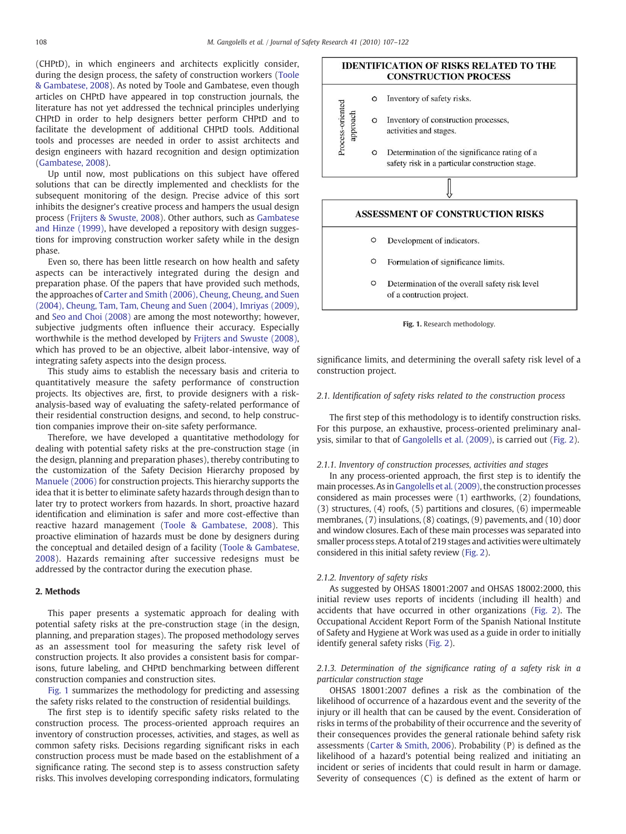(CHPtD), in which engineers and architects explicitly consider, during the design process, the safety of construction workers ([Toole](#page--1-0) [& Gambatese, 2008\)](#page--1-0). As noted by Toole and Gambatese, even though articles on CHPtD have appeared in top construction journals, the literature has not yet addressed the technical principles underlying CHPtD in order to help designers better perform CHPtD and to facilitate the development of additional CHPtD tools. Additional tools and processes are needed in order to assist architects and design engineers with hazard recognition and design optimization [\(Gambatese, 2008\)](#page--1-0).

Up until now, most publications on this subject have offered solutions that can be directly implemented and checklists for the subsequent monitoring of the design. Precise advice of this sort inhibits the designer's creative process and hampers the usual design process [\(Frijters & Swuste, 2008](#page--1-0)). Other authors, such as [Gambatese](#page--1-0) [and Hinze \(1999\)](#page--1-0), have developed a repository with design suggestions for improving construction worker safety while in the design phase.

Even so, there has been little research on how health and safety aspects can be interactively integrated during the design and preparation phase. Of the papers that have provided such methods, the approaches of [Carter and Smith \(2006\), Cheung, Cheung, and Suen](#page--1-0) [\(2004\), Cheung, Tam, Tam, Cheung and Suen \(2004\), Imriyas \(2009\),](#page--1-0) and [Seo and Choi \(2008\)](#page--1-0) are among the most noteworthy; however, subjective judgments often influence their accuracy. Especially worthwhile is the method developed by [Frijters and Swuste \(2008\),](#page--1-0) which has proved to be an objective, albeit labor-intensive, way of integrating safety aspects into the design process.

This study aims to establish the necessary basis and criteria to quantitatively measure the safety performance of construction projects. Its objectives are, first, to provide designers with a riskanalysis-based way of evaluating the safety-related performance of their residential construction designs, and second, to help construction companies improve their on-site safety performance.

Therefore, we have developed a quantitative methodology for dealing with potential safety risks at the pre-construction stage (in the design, planning and preparation phases), thereby contributing to the customization of the Safety Decision Hierarchy proposed by [Manuele \(2006\)](#page--1-0) for construction projects. This hierarchy supports the idea that it is better to eliminate safety hazards through design than to later try to protect workers from hazards. In short, proactive hazard identification and elimination is safer and more cost-effective than reactive hazard management [\(Toole & Gambatese, 2008\)](#page--1-0). This proactive elimination of hazards must be done by designers during the conceptual and detailed design of a facility [\(Toole & Gambatese,](#page--1-0) [2008\)](#page--1-0). Hazards remaining after successive redesigns must be addressed by the contractor during the execution phase.

## 2. Methods

This paper presents a systematic approach for dealing with potential safety risks at the pre-construction stage (in the design, planning, and preparation stages). The proposed methodology serves as an assessment tool for measuring the safety risk level of construction projects. It also provides a consistent basis for comparisons, future labeling, and CHPtD benchmarking between different construction companies and construction sites.

Fig. 1 summarizes the methodology for predicting and assessing the safety risks related to the construction of residential buildings.

The first step is to identify specific safety risks related to the construction process. The process-oriented approach requires an inventory of construction processes, activities, and stages, as well as common safety risks. Decisions regarding significant risks in each construction process must be made based on the establishment of a significance rating. The second step is to assess construction safety risks. This involves developing corresponding indicators, formulating

# **IDENTIFICATION OF RISKS RELATED TO THE CONSTRUCTION PROCESS**

approach Inventory of construction processes,  $\circ$ activities and stages.

Inventory of safety risks.

 $\Omega$ 

Process-oriented

 $\circ$ Determination of the significance rating of a safety risk in a particular construction stage.

## ASSESSMENT OF CONSTRUCTION RISKS

- $\circ$ Development of indicators.
- $\circ$ Formulation of significance limits.
- $\circ$ Determination of the overall safety risk level of a contruction project.



significance limits, and determining the overall safety risk level of a construction project.

## 2.1. Identification of safety risks related to the construction process

The first step of this methodology is to identify construction risks. For this purpose, an exhaustive, process-oriented preliminary analysis, similar to that of [Gangolells et al. \(2009\),](#page--1-0) is carried out ([Fig. 2](#page--1-0)).

#### 2.1.1. Inventory of construction processes, activities and stages

In any process-oriented approach, the first step is to identify the main processes. As in[Gangolells et al. \(2009\),](#page--1-0) the construction processes considered as main processes were (1) earthworks, (2) foundations, (3) structures, (4) roofs, (5) partitions and closures, (6) impermeable membranes, (7) insulations, (8) coatings, (9) pavements, and (10) door and window closures. Each of these main processes was separated into smaller process steps. A total of 219 stages and activities were ultimately considered in this initial safety review ([Fig. 2](#page--1-0)).

#### 2.1.2. Inventory of safety risks

As suggested by OHSAS 18001:2007 and OHSAS 18002:2000, this initial review uses reports of incidents (including ill health) and accidents that have occurred in other organizations ([Fig. 2\)](#page--1-0). The Occupational Accident Report Form of the Spanish National Institute of Safety and Hygiene at Work was used as a guide in order to initially identify general safety risks [\(Fig. 2\)](#page--1-0).

2.1.3. Determination of the significance rating of a safety risk in a particular construction stage

OHSAS 18001:2007 defines a risk as the combination of the likelihood of occurrence of a hazardous event and the severity of the injury or ill health that can be caused by the event. Consideration of risks in terms of the probability of their occurrence and the severity of their consequences provides the general rationale behind safety risk assessments [\(Carter & Smith, 2006](#page--1-0)). Probability (P) is defined as the likelihood of a hazard's potential being realized and initiating an incident or series of incidents that could result in harm or damage. Severity of consequences (C) is defined as the extent of harm or